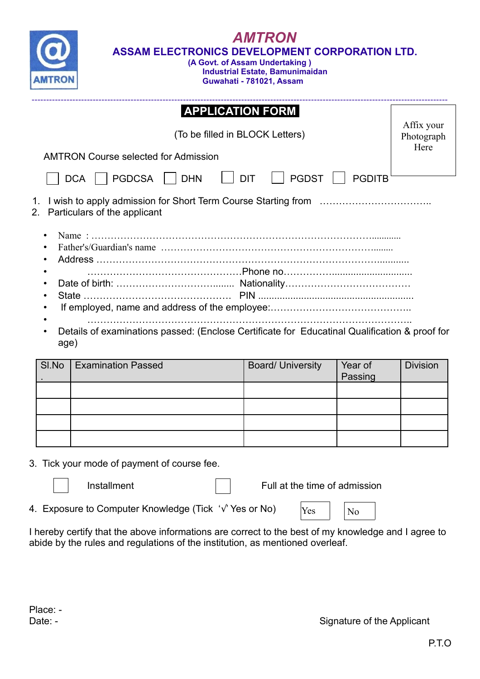| <b>AMTRON</b><br>ASSAM ELECTRONICS DEVELOPMENT CORPORATION LTD.<br>(A Govt. of Assam Undertaking)<br><b>Industrial Estate, Bamunimaidan</b><br>Guwahati - 781021, Assam |                                                                               |                          |                    |                 |  |  |
|-------------------------------------------------------------------------------------------------------------------------------------------------------------------------|-------------------------------------------------------------------------------|--------------------------|--------------------|-----------------|--|--|
|                                                                                                                                                                         | <b>APPLICATION FORM</b>                                                       |                          |                    | Affix your      |  |  |
|                                                                                                                                                                         | (To be filled in BLOCK Letters)                                               |                          |                    |                 |  |  |
|                                                                                                                                                                         | Here<br><b>AMTRON Course selected for Admission</b>                           |                          |                    |                 |  |  |
|                                                                                                                                                                         | <b>DIT</b><br><b>PGDST</b><br>  PGDCSA     DHN<br><b>PGDITB</b><br><b>DCA</b> |                          |                    |                 |  |  |
| Particulars of the applicant                                                                                                                                            |                                                                               |                          |                    |                 |  |  |
|                                                                                                                                                                         |                                                                               |                          |                    |                 |  |  |
|                                                                                                                                                                         |                                                                               |                          |                    |                 |  |  |
|                                                                                                                                                                         |                                                                               |                          |                    |                 |  |  |
|                                                                                                                                                                         |                                                                               |                          |                    |                 |  |  |
| Details of examinations passed: (Enclose Certificate for Educatinal Qualification & proof for<br>age)                                                                   |                                                                               |                          |                    |                 |  |  |
| SI.No                                                                                                                                                                   | <b>Examination Passed</b>                                                     | <b>Board/ University</b> | Year of<br>Passing | <b>Division</b> |  |  |
|                                                                                                                                                                         |                                                                               |                          |                    |                 |  |  |

|  |  |  |  | 3. Tick your mode of payment of course fee. |  |
|--|--|--|--|---------------------------------------------|--|

Installment **Full at the time of admission** 

4. Exposure to Computer Knowledge (Tick '√' Yes or No)

 $Yes$   $|$   $|$   $No$ 

I hereby certify that the above informations are correct to the best of my knowledge and I agree to abide by the rules and regulations of the institution, as mentioned overleaf.